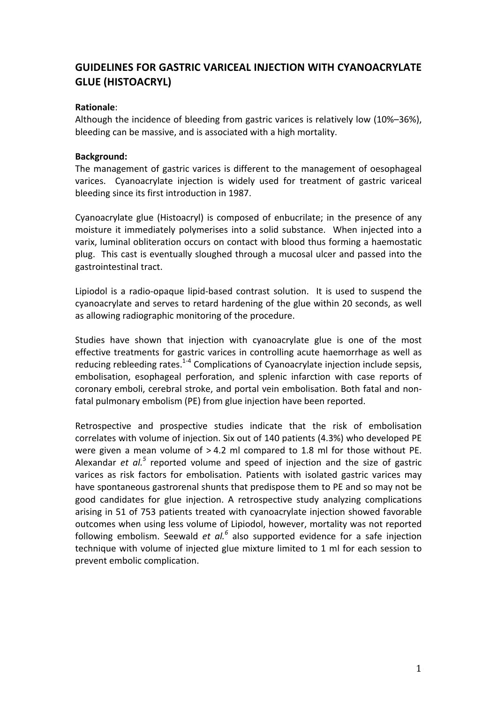# **GUIDELINES FOR GASTRIC VARICEAL INJECTION WITH CYANOACRYLATE GLUE (HISTOACRYL)**

## **Rationale**:

Although the incidence of bleeding from gastric varices is relatively low (10%–36%), bleeding can be massive, and is associated with a high mortality.

## **Background:**

The management of gastric varices is different to the management of oesophageal varices. Cyanoacrylate injection is widely used for treatment of gastric variceal bleeding since its first introduction in 1987.

Cyanoacrylate glue (Histoacryl) is composed of enbucrilate: in the presence of any moisture it immediately polymerises into a solid substance. When injected into a varix, luminal obliteration occurs on contact with blood thus forming a haemostatic plug. This cast is eventually sloughed through a mucosal ulcer and passed into the gastrointestinal tract.

Lipiodol is a radio-opaque lipid-based contrast solution. It is used to suspend the cyanoacrylate and serves to retard hardening of the glue within 20 seconds, as well as allowing radiographic monitoring of the procedure.

Studies have shown that injection with cyanoacrylate glue is one of the most effective treatments for gastric varices in controlling acute haemorrhage as well as reducing rebleeding rates. $1-4$  Complications of Cyanoacrylate injection include sepsis, embolisation, esophageal perforation, and splenic infarction with case reports of coronary emboli, cerebral stroke, and portal vein embolisation. Both fatal and nonfatal pulmonary embolism (PE) from glue injection have been reported.

Retrospective and prospective studies indicate that the risk of embolisation correlates with volume of injection. Six out of 140 patients (4.3%) who developed PE were given a mean volume of  $> 4.2$  ml compared to 1.8 ml for those without PE. Alexandar *et*  $al^5$  reported volume and speed of injection and the size of gastric varices as risk factors for embolisation. Patients with isolated gastric varices may have spontaneous gastrorenal shunts that predispose them to PE and so may not be good candidates for glue injection. A retrospective study analyzing complications arising in 51 of 753 patients treated with cyanoacrylate injection showed favorable outcomes when using less volume of Lipiodol, however, mortality was not reported following embolism. Seewald *et al.<sup>6</sup>* also supported evidence for a safe injection technique with volume of injected glue mixture limited to 1 ml for each session to prevent embolic complication.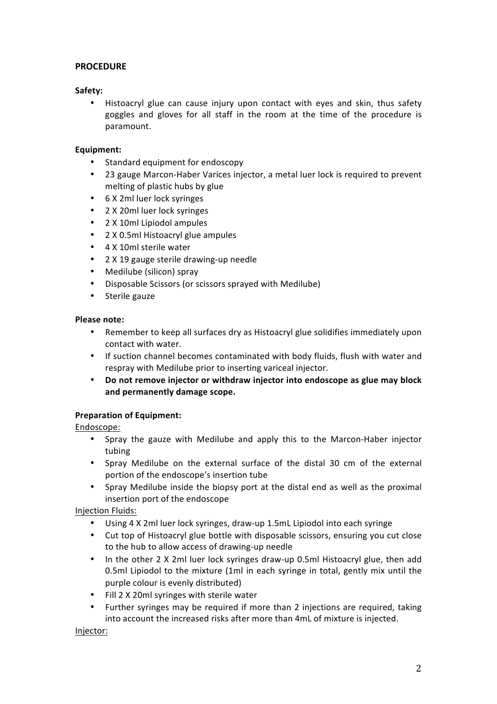## **PROCEDURE**

## **Safety:**

Histoacryl glue can cause injury upon contact with eyes and skin, thus safety goggles and gloves for all staff in the room at the time of the procedure is paramount. 

### **Equipment:**

- Standard equipment for endoscopy
- 23 gauge Marcon-Haber Varices injector, a metal luer lock is required to prevent melting of plastic hubs by glue
- 6 X 2ml luer lock syringes
- 2 X 20ml luer lock syringes
- 2 X 10ml Lipiodol ampules
- 2 X 0.5ml Histoacryl glue ampules
- 4 X 10ml sterile water
- 2 X 19 gauge sterile drawing-up needle
- Medilube (silicon) spray
- Disposable Scissors (or scissors sprayed with Medilube)
- Sterile gauze

#### **Please note:**

- Remember to keep all surfaces dry as Histoacryl glue solidifies immediately upon contact with water.
- If suction channel becomes contaminated with body fluids, flush with water and respray with Medilube prior to inserting variceal injector.
- Do not remove injector or withdraw injector into endoscope as glue may block **and permanently damage scope.**

## **Preparation of Equipment:**

Endoscope:

- Spray the gauze with Medilube and apply this to the Marcon-Haber injector tubing
- Spray Medilube on the external surface of the distal 30 cm of the external portion of the endoscope's insertion tube
- Spray Medilube inside the biopsy port at the distal end as well as the proximal insertion port of the endoscope

Injection Fluids:

- Using 4 X 2ml luer lock syringes, draw-up 1.5mL Lipiodol into each syringe
- Cut top of Histoacryl glue bottle with disposable scissors, ensuring you cut close to the hub to allow access of drawing-up needle
- In the other 2 X 2ml luer lock syringes draw-up 0.5ml Histoacryl glue, then add 0.5ml Lipiodol to the mixture (1ml in each syringe in total, gently mix until the purple colour is evenly distributed)
- Fill 2 X 20ml syringes with sterile water
- Further syringes may be required if more than 2 injections are required, taking into account the increased risks after more than 4mL of mixture is injected.

Injector: